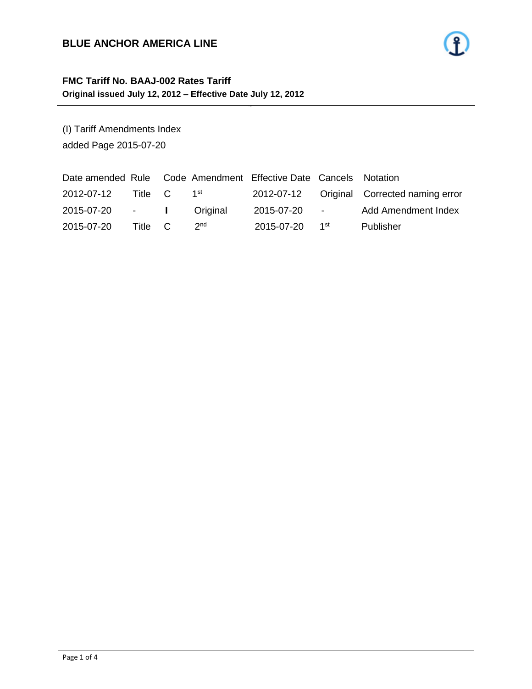#### **BLUE ANCHOR AMERICA LINE**

### **FMC Tariff No. BAAJ-002 Rates Tariff Original issued July 12, 2012 – Effective Date July 12, 2012**

(I) Tariff Amendments Index added Page 2015-07-20

| Date amended Rule Code Amendment Effective Date Cancels Notation |         |                 |            |                          |                                            |
|------------------------------------------------------------------|---------|-----------------|------------|--------------------------|--------------------------------------------|
| 2012-07-12                                                       | Title C | 1 <sup>st</sup> |            |                          | 2012-07-12 Original Corrected naming error |
| 2015-07-20 - I                                                   |         | Original        | 2015-07-20 | <b>Contract Contract</b> | Add Amendment Index                        |
| 2015-07-20                                                       | Title C | 2 <sub>nd</sub> | 2015-07-20 | 1 <sup>st</sup>          | Publisher                                  |

- 1 -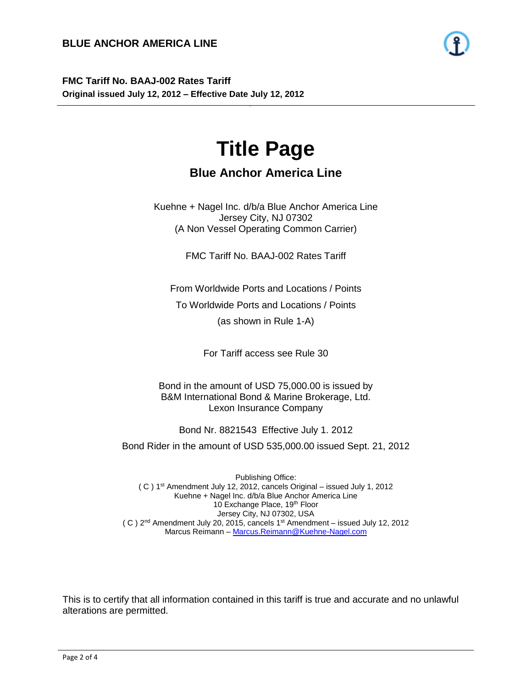**FMC Tariff No. BAAJ-002 Rates Tariff Original issued July 12, 2012 – Effective Date July 12, 2012**

# **Title Page**

- 2 -

## **Blue Anchor America Line**

Kuehne + Nagel Inc. d/b/a Blue Anchor America Line Jersey City, NJ 07302 (A Non Vessel Operating Common Carrier)

FMC Tariff No. BAAJ-002 Rates Tariff

From Worldwide Ports and Locations / Points

To Worldwide Ports and Locations / Points

(as shown in Rule 1-A)

For Tariff access see Rule 30

Bond in the amount of USD 75,000.00 is issued by B&M International Bond & Marine Brokerage, Ltd. Lexon Insurance Company

Bond Nr. 8821543 Effective July 1. 2012

Bond Rider in the amount of USD 535,000.00 issued Sept. 21, 2012

Publishing Office: ( C ) 1 st Amendment July 12, 2012, cancels Original – issued July 1, 2012 Kuehne + Nagel Inc. d/b/a Blue Anchor America Line 10 Exchange Place, 19th Floor Jersey City, NJ 07302, USA  $(C)$  2<sup>nd</sup> Amendment July 20, 2015, cancels 1<sup>st</sup> Amendment - issued July 12, 2012 Marcus Reimann – [Marcus.Reimann@Kuehne-Nagel.com](mailto:Marcus.Reimann@Kuehne-Nagel.com)

This is to certify that all information contained in this tariff is true and accurate and no unlawful alterations are permitted.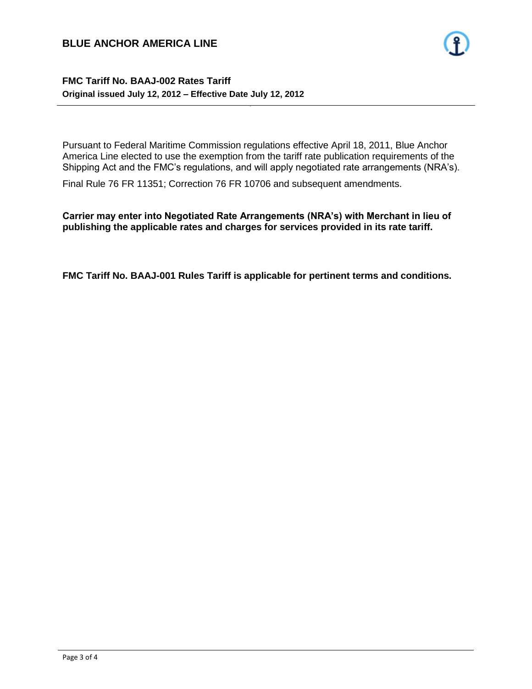#### **BLUE ANCHOR AMERICA LINE**

#### **FMC Tariff No. BAAJ-002 Rates Tariff Original issued July 12, 2012 – Effective Date July 12, 2012**

Pursuant to Federal Maritime Commission regulations effective April 18, 2011, Blue Anchor America Line elected to use the exemption from the tariff rate publication requirements of the Shipping Act and the FMC's regulations, and will apply negotiated rate arrangements (NRA's).

- 3 -

Final Rule 76 FR 11351; Correction 76 FR 10706 and subsequent amendments.

**Carrier may enter into Negotiated Rate Arrangements (NRA's) with Merchant in lieu of publishing the applicable rates and charges for services provided in its rate tariff.**

**FMC Tariff No. BAAJ-001 Rules Tariff is applicable for pertinent terms and conditions.**